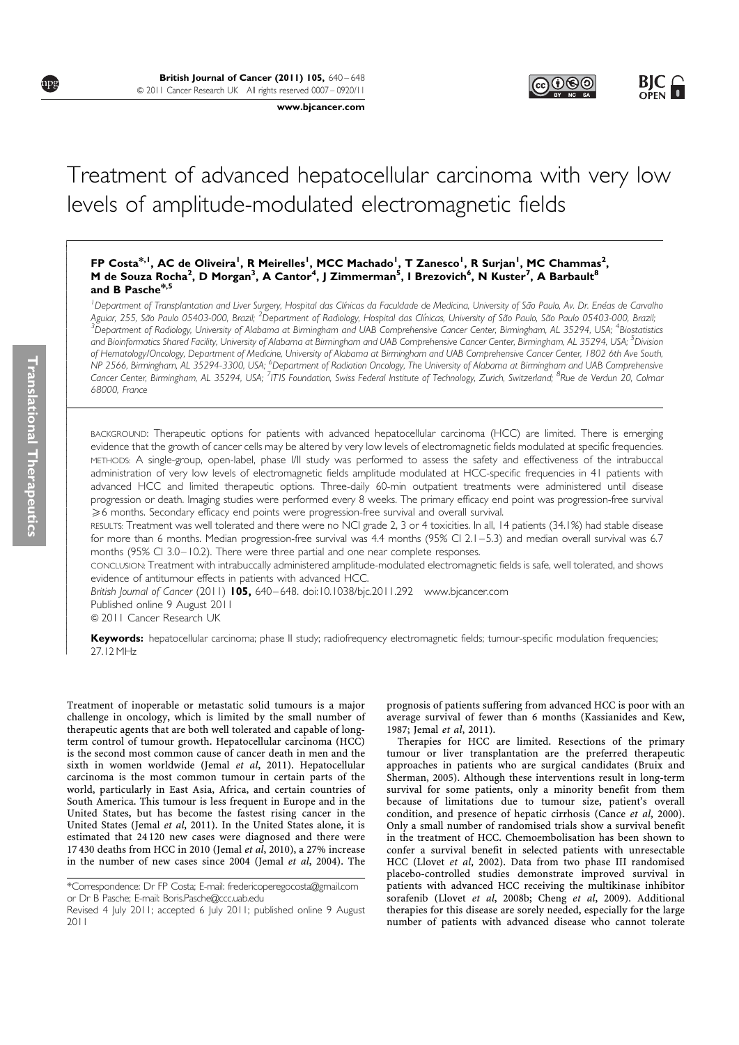www.bjcancer.com

# Treatment of advanced hepatocellular carcinoma with very low levels of amplitude-modulated electromagnetic fields

# FP Costa<sup>\*, I</sup>, AC de Oliveira<sup>l</sup>, R Meirelles<sup>l</sup>, MCC Machado<sup>l</sup>, T Zanesco<sup>l</sup>, R Surjan<sup>l</sup>, MC Chammas<sup>2</sup>, M de Souza Rocha<sup>2</sup>, D Morgan<sup>3</sup>, A Cantor<sup>4</sup>, J Zimmerman<sup>5</sup>, I Brezovich<sup>6</sup>, N Kuster<sup>7</sup>, A Barbault<sup>8</sup> and B Pasche\*,5

<sup>1</sup> Department of Transplantation and Liver Surgery, Hospital das Clínicas da Faculdade de Medicina, University of São Paulo, Av. Dr. Enéas de Carvalho Aguiar, 255, São Paulo 05403-000, Brazil; <sup>2</sup>Department of Radiology, Hospital das Clínicas, University of São Paulo, São Paulo 05403-000, Brazil,<br><sup>3</sup>Dehartment of Badiology University of Alabama at Birmingham and UAB Comp .<br>Department of Radiology, University of Alabama at Birmingham and UAB Comprehensive Cancer Center, Birmingham, AL 35294, USA; <sup>4</sup>Biostatistics and Bioinformatics Shared Facility, University of Alabama at Birmingham and UAB Comprehensive Cancer Center, Birmingham, AL 35294, USA; <sup>5</sup>Division of Hematology/Oncology, Department of Medicine, University of Alabama at Birmingham and UAB Comprehensive Cancer Center, 1802 6th Ave South, .<br>NP 2566, Birmingham, AL 35294-3300, USA; <sup>6</sup>Department of Radiation Oncology, The University of Alabama at Birmingham and UAB Comprehensive Cancer Center, Birmingham, AL 35294, USA; <sup>7</sup>IT'IS Foundation, Swiss Federal Institute of Technology, Zurich, Switzerland; <sup>8</sup>Rue de Verdun 20, Colmar 68000, France

BACKGROUND: Therapeutic options for patients with advanced hepatocellular carcinoma (HCC) are limited. There is emerging evidence that the growth of cancer cells may be altered by very low levels of electromagnetic fields modulated at specific frequencies. METHODS: A single-group, open-label, phase I/II study was performed to assess the safety and effectiveness of the intrabuccal administration of very low levels of electromagnetic fields amplitude modulated at HCC-specific frequencies in 41 patients with advanced HCC and limited therapeutic options. Three-daily 60-min outpatient treatments were administered until disease progression or death. Imaging studies were performed every 8 weeks. The primary efficacy end point was progression-free survival  $\geqslant$ 6 months. Secondary efficacy end points were progression-free survival and overall survival.

RESULTS: Treatment was well tolerated and there were no NCI grade 2, 3 or 4 toxicities. In all, 14 patients (34.1%) had stable disease for more than 6 months. Median progression-free survival was 4.4 months (95% CI 2.1 – 5.3) and median overall survival was 6.7 months (95% CI 3.0 – 10.2). There were three partial and one near complete responses.

CONCLUSION: Treatment with intrabuccally administered amplitude-modulated electromagnetic fields is safe, well tolerated, and shows evidence of antitumour effects in patients with advanced HCC.

British Journal of Cancer (2011) 105, 640-648. doi:10.1038/bjc.2011.292 www.bjcancer.com Published online 9 August 2011

& 2011 Cancer Research UK

Keywords: hepatocellular carcinoma; phase II study; radiofrequency electromagnetic fields; tumour-specific modulation frequencies; 27.12 MHz

Treatment of inoperable or metastatic solid tumours is a major challenge in oncology, which is limited by the small number of therapeutic agents that are both well tolerated and capable of longterm control of tumour growth. Hepatocellular carcinoma (HCC) is the second most common cause of cancer death in men and the sixth in women worldwide (Jemal et al, 2011). Hepatocellular carcinoma is the most common tumour in certain parts of the world, particularly in East Asia, Africa, and certain countries of South America. This tumour is less frequent in Europe and in the United States, but has become the fastest rising cancer in the United States (Jemal et al, 2011). In the United States alone, it is estimated that 24 120 new cases were diagnosed and there were 17 430 deaths from HCC in 2010 (Jemal et al, 2010), a 27% increase in the number of new cases since 2004 (Jemal et al, 2004). The

prognosis of patients suffering from advanced HCC is poor with an average survival of fewer than 6 months (Kassianides and Kew, 1987; Jemal et al, 2011).

Therapies for HCC are limited. Resections of the primary tumour or liver transplantation are the preferred therapeutic approaches in patients who are surgical candidates (Bruix and Sherman, 2005). Although these interventions result in long-term survival for some patients, only a minority benefit from them because of limitations due to tumour size, patient's overall condition, and presence of hepatic cirrhosis (Cance et al, 2000). Only a small number of randomised trials show a survival benefit in the treatment of HCC. Chemoembolisation has been shown to confer a survival benefit in selected patients with unresectable HCC (Llovet et al, 2002). Data from two phase III randomised placebo-controlled studies demonstrate improved survival in patients with advanced HCC receiving the multikinase inhibitor sorafenib (Llovet et al, 2008b; Cheng et al, 2009). Additional therapies for this disease are sorely needed, especially for the large number of patients with advanced disease who cannot tolerate

! ! ! ! ! ! ! ! ! ! ! ! ! ! ! ! ! ! ! ! ! ! ! ! ! ! ! ! ! ! ! ! ! ! ! ! ! ! ! ! ! ! ! ! ! ! ! ! ! ! ! ! ! ! ! ! ! ! ! ! ! ! ! ! !

npg

<sup>\*</sup>Correspondence: Dr FP Costa; E-mail: fredericoperegocosta@gmail.com or Dr B Pasche; E-mail: Boris.Pasche@ccc.uab.edu

Revised 4 July 2011; accepted 6 July 2011; published online 9 August 2011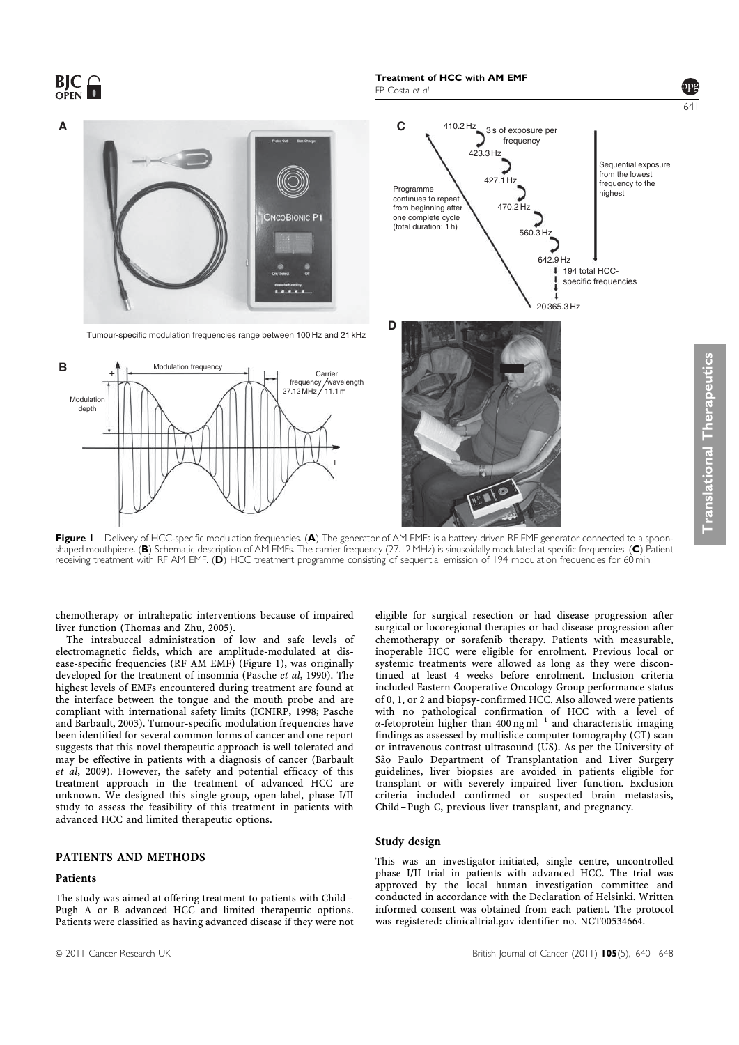$BIC<sub>OPFN</sub>$ FP Costa et al 641 410.2 Hz **A** C 410.21 **C** 3 s of exposure per frequency 423.3 Hz Sequential exposure from the lowest 427.1 Hz frequency to the Programme highest continues to repeat 470.2 Hz from beginning after **ONCOBIONIC P1** one complete cycle (total duration: 1 h)  $560.3H$ 642.9 Hz  $194$  total HCCspecific frequencies 20 365.3 Hz **D** Tumour-specific modulation frequencies range between 100 Hz and 21 kHz **B** Modulation frequency **Translational Therapeuti** + Carrier  $\sqrt{\text{wavelength}}$ <br>11.1 m nequency<br>, 27.12 MHz Modulatio depth +

Figure I Delivery of HCC-specific modulation frequencies. (A) The generator of AM EMFs is a battery-driven RF EMF generator connected to a spoonshaped mouthpiece. (B) Schematic description of AM EMFs. The carrier frequency (27.12 MHz) is sinusoidally modulated at specific frequencies. (C) Patient receiving treatment with RF AM EMF. (D) HCC treatment programme consisting of sequential emission of 194 modulation frequencies for 60 min.

chemotherapy or intrahepatic interventions because of impaired liver function (Thomas and Zhu, 2005).

The intrabuccal administration of low and safe levels of electromagnetic fields, which are amplitude-modulated at disease-specific frequencies (RF AM EMF) (Figure 1), was originally developed for the treatment of insomnia (Pasche et al, 1990). The highest levels of EMFs encountered during treatment are found at the interface between the tongue and the mouth probe and are compliant with international safety limits (ICNIRP, 1998; Pasche and Barbault, 2003). Tumour-specific modulation frequencies have been identified for several common forms of cancer and one report suggests that this novel therapeutic approach is well tolerated and may be effective in patients with a diagnosis of cancer (Barbault et al, 2009). However, the safety and potential efficacy of this treatment approach in the treatment of advanced HCC are unknown. We designed this single-group, open-label, phase I/II study to assess the feasibility of this treatment in patients with advanced HCC and limited therapeutic options.

# PATIENTS AND METHODS

# Patients

The study was aimed at offering treatment to patients with Child – Pugh A or B advanced HCC and limited therapeutic options. Patients were classified as having advanced disease if they were not eligible for surgical resection or had disease progression after surgical or locoregional therapies or had disease progression after chemotherapy or sorafenib therapy. Patients with measurable, inoperable HCC were eligible for enrolment. Previous local or systemic treatments were allowed as long as they were discontinued at least 4 weeks before enrolment. Inclusion criteria included Eastern Cooperative Oncology Group performance status of 0, 1, or 2 and biopsy-confirmed HCC. Also allowed were patients with no pathological confirmation of HCC with a level of  $\alpha$ -fetoprotein higher than 400 ng ml<sup>-1</sup> and characteristic imaging findings as assessed by multislice computer tomography (CT) scan or intravenous contrast ultrasound (US). As per the University of São Paulo Department of Transplantation and Liver Surgery guidelines, liver biopsies are avoided in patients eligible for transplant or with severely impaired liver function. Exclusion criteria included confirmed or suspected brain metastasis, Child –Pugh C, previous liver transplant, and pregnancy.

Translational Therapeutics

#### Study design

This was an investigator-initiated, single centre, uncontrolled phase I/II trial in patients with advanced HCC. The trial was approved by the local human investigation committee and conducted in accordance with the Declaration of Helsinki. Written informed consent was obtained from each patient. The protocol was registered: clinicaltrial.gov identifier no. NCT00534664.

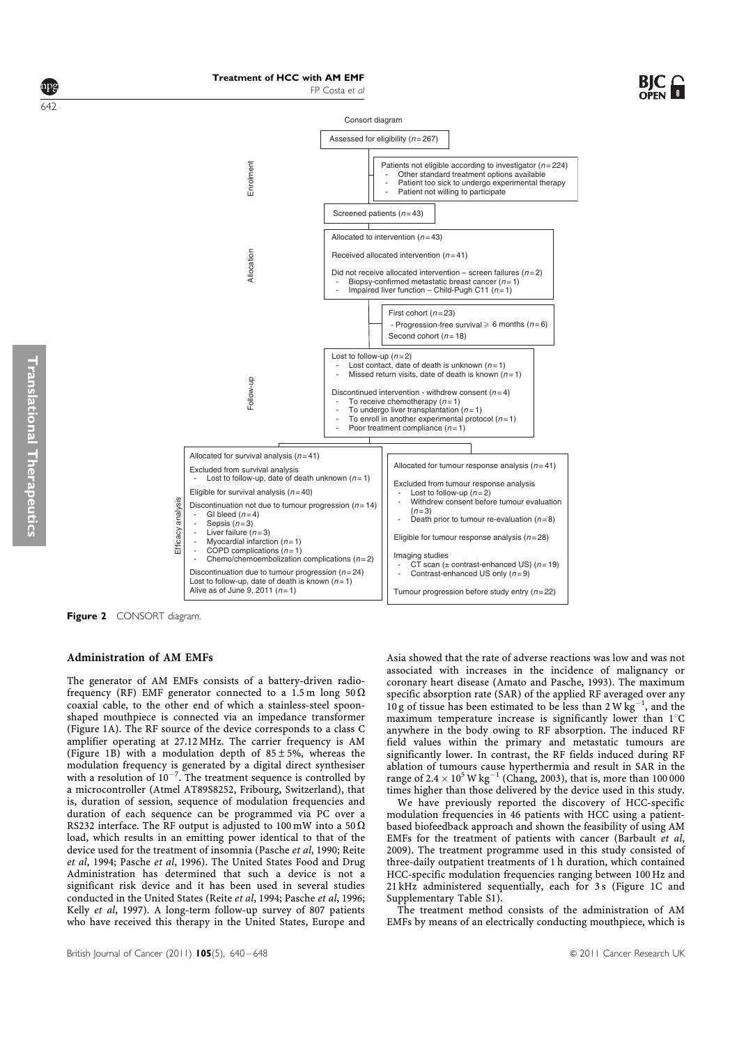







Figure 2 CONSORT diagram.

Efficacy analysis

Efficacy

analysis

# Administration of AM EMFs

The generator of AM EMFs consists of a battery-driven radiofrequency (RF) EMF generator connected to a 1.5 m long 50  $\Omega$ coaxial cable, to the other end of which a stainless-steel spoonshaped mouthpiece is connected via an impedance transformer (Figure 1A). The RF source of the device corresponds to a class C amplifier operating at 27.12 MHz. The carrier frequency is AM (Figure 1B) with a modulation depth of  $85 \pm 5\%$ , whereas the modulation frequency is generated by a digital direct synthesiser<br>with a resolution of  $10^{-7}$ . The treatment sequence is controlled by a microcontroller (Atmel AT89S8252, Fribourg, Switzerland), that is, duration of session, sequence of modulation frequencies and duration of each sequence can be programmed via PC over a RS232 interface. The RF output is adjusted to 100 mW into a 50  $\Omega$ load, which results in an emitting power identical to that of the device used for the treatment of insomnia (Pasche et al, 1990; Reite et al, 1994; Pasche et al, 1996). The United States Food and Drug Administration has determined that such a device is not a significant risk device and it has been used in several studies conducted in the United States (Reite et al, 1994; Pasche et al, 1996; Kelly et al, 1997). A long-term follow-up survey of 807 patients who have received this therapy in the United States, Europe and

Asia showed that the rate of adverse reactions was low and was not associated with increases in the incidence of malignancy or coronary heart disease (Amato and Pasche, 1993). The maximum specific absorption rate (SAR) of the applied RF averaged over any 10 g of tissue has been estimated to be less than 2 W  $\text{kg}^{-1}$ , and the maximum temperature increase is significantly lower than  $1^{\circ}{\rm C}$ anywhere in the body owing to RF absorption. The induced RF field values within the primary and metastatic tumours are significantly lower. In contrast, the RF fields induced during RF ablation of tumours cause hyperthermia and result in SAR in the range of  $2.4 \times 10^5$  W kg<sup>-1</sup> (Chang, 2003), that is, more than 100 000 times higher than those delivered by the device used in this study.

We have previously reported the discovery of HCC-specific modulation frequencies in 46 patients with HCC using a patientbased biofeedback approach and shown the feasibility of using AM EMFs for the treatment of patients with cancer (Barbault et al, 2009). The treatment programme used in this study consisted of three-daily outpatient treatments of 1 h duration, which contained HCC-specific modulation frequencies ranging between 100 Hz and 21 kHz administered sequentially, each for 3 s (Figure 1C and Supplementary Table S1).

The treatment method consists of the administration of AM EMFs by means of an electrically conducting mouthpiece, which is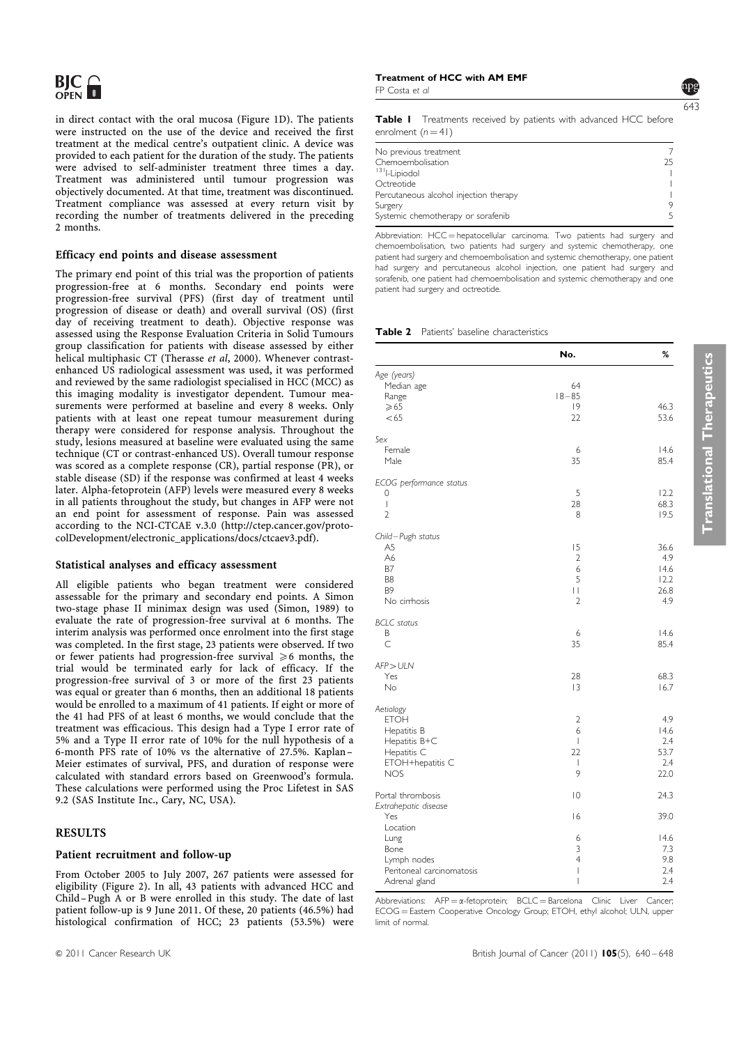in direct contact with the oral mucosa (Figure 1D). The patients were instructed on the use of the device and received the first treatment at the medical centre's outpatient clinic. A device was provided to each patient for the duration of the study. The patients were advised to self-administer treatment three times a day. Treatment was administered until tumour progression was objectively documented. At that time, treatment was discontinued. Treatment compliance was assessed at every return visit by recording the number of treatments delivered in the preceding 2 months.

# Efficacy end points and disease assessment

The primary end point of this trial was the proportion of patients progression-free at 6 months. Secondary end points were progression-free survival (PFS) (first day of treatment until progression of disease or death) and overall survival (OS) (first day of receiving treatment to death). Objective response was assessed using the Response Evaluation Criteria in Solid Tumours group classification for patients with disease assessed by either helical multiphasic CT (Therasse et al, 2000). Whenever contrastenhanced US radiological assessment was used, it was performed and reviewed by the same radiologist specialised in HCC (MCC) as this imaging modality is investigator dependent. Tumour measurements were performed at baseline and every 8 weeks. Only patients with at least one repeat tumour measurement during therapy were considered for response analysis. Throughout the study, lesions measured at baseline were evaluated using the same technique (CT or contrast-enhanced US). Overall tumour response was scored as a complete response (CR), partial response (PR), or stable disease (SD) if the response was confirmed at least 4 weeks later. Alpha-fetoprotein (AFP) levels were measured every 8 weeks in all patients throughout the study, but changes in AFP were not an end point for assessment of response. Pain was assessed according to the NCI-CTCAE v.3.0 (http://ctep.cancer.gov/protocolDevelopment/electronic\_applications/docs/ctcaev3.pdf).

# Statistical analyses and efficacy assessment

All eligible patients who began treatment were considered assessable for the primary and secondary end points. A Simon two-stage phase II minimax design was used (Simon, 1989) to evaluate the rate of progression-free survival at 6 months. The interim analysis was performed once enrolment into the first stage was completed. In the first stage, 23 patients were observed. If two or fewer patients had progression-free survival  $\geq 6$  months, the trial would be terminated early for lack of efficacy. If the progression-free survival of 3 or more of the first 23 patients was equal or greater than 6 months, then an additional 18 patients would be enrolled to a maximum of 41 patients. If eight or more of the 41 had PFS of at least 6 months, we would conclude that the treatment was efficacious. This design had a Type I error rate of 5% and a Type II error rate of 10% for the null hypothesis of a 6-month PFS rate of 10% vs the alternative of 27.5%. Kaplan – Meier estimates of survival, PFS, and duration of response were calculated with standard errors based on Greenwood's formula. These calculations were performed using the Proc Lifetest in SAS 9.2 (SAS Institute Inc., Cary, NC, USA).

# RESULTS

#### Patient recruitment and follow-up

From October 2005 to July 2007, 267 patients were assessed for eligibility (Figure 2). In all, 43 patients with advanced HCC and Child –Pugh A or B were enrolled in this study. The date of last patient follow-up is 9 June 2011. Of these, 20 patients (46.5%) had histological confirmation of HCC; 23 patients (53.5%) were

# Treatment of HCC with AM EMF

FP Costa et al

Table I Treatments received by patients with advanced HCC before enrolment  $(n = 41)$ 

| No previous treatment                  |    |
|----------------------------------------|----|
| Chemoembolisation                      | つら |
| <sup>131</sup> -Lipiodol               |    |
| Octreotide                             |    |
| Percutaneous alcohol injection therapy |    |
| Surgery                                | 9  |
| Systemic chemotherapy or sorafenib     | 5  |

Abbreviation: HCC = hepatocellular carcinoma. Two patients had surgery and chemoembolisation, two patients had surgery and systemic chemotherapy, one patient had surgery and chemoembolisation and systemic chemotherapy, one patient had surgery and percutaneous alcohol injection, one patient had surgery and sorafenib, one patient had chemoembolisation and systemic chemotherapy and one patient had surgery and octreotide.

#### Table 2 Patients' baseline characteristics

|                                  | No.            | %            |
|----------------------------------|----------------|--------------|
| Age (years)                      |                |              |
| Median age                       | 64             |              |
| Range                            | $18 - 85$      |              |
| $\geqslant 65$                   | 9              | 46.3         |
| < 65                             | 22             | 53.6         |
| Sex                              |                |              |
| Female                           | 6              | 14.6         |
| Male                             | 35             | 85.4         |
| ECOG performance status          |                |              |
| 0                                | 5              | 12.2         |
| $\overline{1}$                   | 28             | 68.3         |
| $\overline{2}$                   | 8              | 19.5         |
| Child-Pugh status                |                |              |
| A5                               | 15             | 36.6         |
| A6                               | $\overline{2}$ | 4.9          |
| <b>B7</b>                        | 6              | 14.6         |
| B <sub>8</sub><br>B <sub>9</sub> | 5<br>П         | 12.2<br>26.8 |
| No cirrhosis                     | $\overline{2}$ | 4.9          |
|                                  |                |              |
| <b>BCLC</b> status               |                |              |
| Β                                | 6              | 14.6         |
| $\overline{C}$                   | 35             | 85.4         |
| AFP > ULN                        |                |              |
| Yes                              | 28             | 68.3         |
| <b>No</b>                        | 3              | 16.7         |
| Aetiology                        |                |              |
| <b>ETOH</b>                      | $\overline{2}$ | 4.9          |
| Hepatitis B                      | 6              | 14.6         |
| Hepatitis B+C                    | $\mathsf{I}$   | 2.4          |
| Hepatitis C<br>ETOH+hepatitis C  | 22<br>T        | 53.7<br>2.4  |
| <b>NOS</b>                       | 9              | 22.0         |
|                                  |                |              |
| Portal thrombosis                | $\overline{0}$ | 24.3         |
| Extrahepatic disease             |                |              |
| Yes<br>Location                  | 16             | 39.0         |
| Lung                             | 6              | 14.6         |
| Bone                             | 3              | 7.3          |
| Lymph nodes                      | $\overline{4}$ | 9.8          |
| Peritoneal carcinomatosis        | $\overline{1}$ | 2.4          |
| Adrenal gland                    | $\overline{1}$ | 2.4          |

Abbreviations:  $AP = \alpha$ -fetoprotein;  $BCLC = Barcelona$  Clinic Liver Cancer; ECOG = Eastern Cooperative Oncology Group; ETOH, ethyl alcohol; ULN, upper limit of normal.

Translational Therapeutics

**Translational Therapeutics**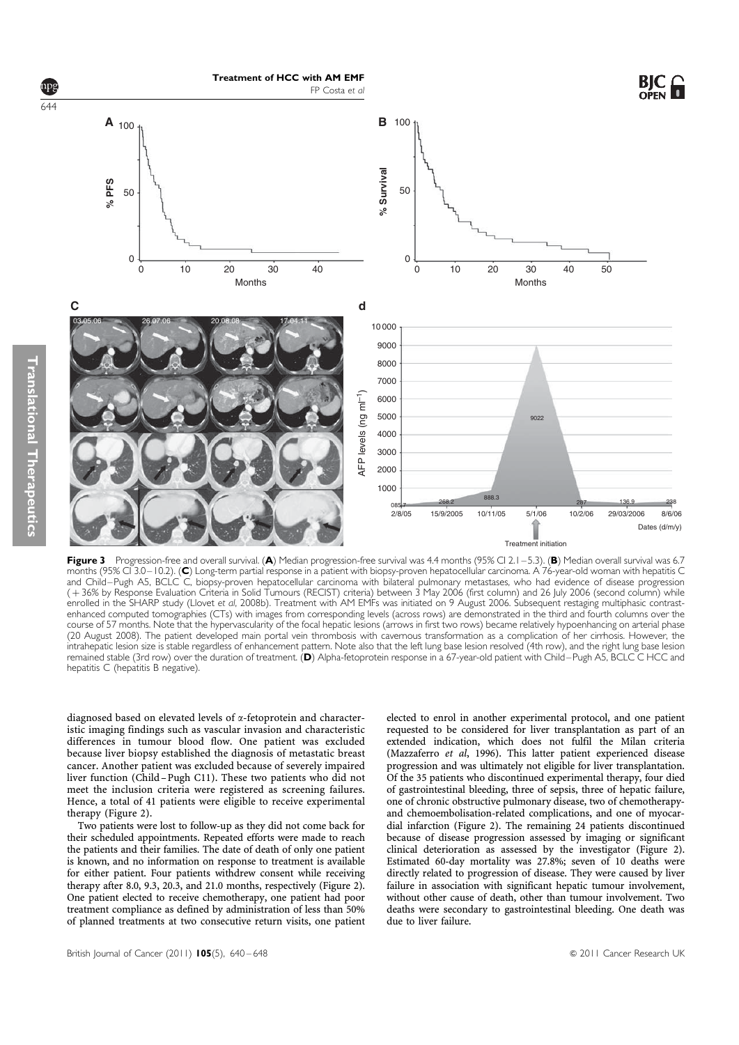

Figure 3 Progression-free and overall survival. (A) Median progression-free survival was 4.4 months (95% CI 2.1 - 5.3). (B) Median overall survival was 6.7 months (95% CI 3.0 – 10.2). (C) Long-term partial response in a patient with biopsy-proven hepatocellular carcinoma. A 76-year-old woman with hepatitis C and Child – Pugh A5, BCLC C, biopsy-proven hepatocellular carcinoma with bilateral pulmonary metastases, who had evidence of disease progression ( þ 36% by Response Evaluation Criteria in Solid Tumours (RECIST) criteria) between 3 May 2006 (first column) and 26 July 2006 (second column) while enrolled in the SHARP study (Llovet et al, 2008b). Treatment with AM EMFs was initiated on 9 August 2006. Subsequent restaging multiphasic contrastenhanced computed tomographies (CTs) with images from corresponding levels (across rows) are demonstrated in the third and fourth columns over the course of 57 months. Note that the hypervascularity of the focal hepatic lesions (arrows in first two rows) became relatively hypoenhancing on arterial phase (20 August 2008). The patient developed main portal vein thrombosis with cavernous transformation as a complication of her cirrhosis. However, the intrahepatic lesion size is stable regardless of enhancement pattern. Note also that the left lung base lesion resolved (4th row), and the right lung base lesion remained stable (3rd row) over the duration of treatment. (D) Alpha-fetoprotein response in a 67-year-old patient with Child – Pugh A5, BCLC C HCC and hepatitis C (hepatitis B negative).

diagnosed based on elevated levels of a-fetoprotein and characteristic imaging findings such as vascular invasion and characteristic differences in tumour blood flow. One patient was excluded because liver biopsy established the diagnosis of metastatic breast cancer. Another patient was excluded because of severely impaired liver function (Child –Pugh C11). These two patients who did not meet the inclusion criteria were registered as screening failures. Hence, a total of 41 patients were eligible to receive experimental therapy (Figure 2).

Two patients were lost to follow-up as they did not come back for their scheduled appointments. Repeated efforts were made to reach the patients and their families. The date of death of only one patient is known, and no information on response to treatment is available for either patient. Four patients withdrew consent while receiving therapy after 8.0, 9.3, 20.3, and 21.0 months, respectively (Figure 2). One patient elected to receive chemotherapy, one patient had poor treatment compliance as defined by administration of less than 50% of planned treatments at two consecutive return visits, one patient

elected to enrol in another experimental protocol, and one patient requested to be considered for liver transplantation as part of an extended indication, which does not fulfil the Milan criteria (Mazzaferro et al, 1996). This latter patient experienced disease progression and was ultimately not eligible for liver transplantation. Of the 35 patients who discontinued experimental therapy, four died of gastrointestinal bleeding, three of sepsis, three of hepatic failure, one of chronic obstructive pulmonary disease, two of chemotherapyand chemoembolisation-related complications, and one of myocardial infarction (Figure 2). The remaining 24 patients discontinued because of disease progression assessed by imaging or significant clinical deterioration as assessed by the investigator (Figure 2). Estimated 60-day mortality was 27.8%; seven of 10 deaths were directly related to progression of disease. They were caused by liver failure in association with significant hepatic tumour involvement, without other cause of death, other than tumour involvement. Two deaths were secondary to gastrointestinal bleeding. One death was due to liver failure.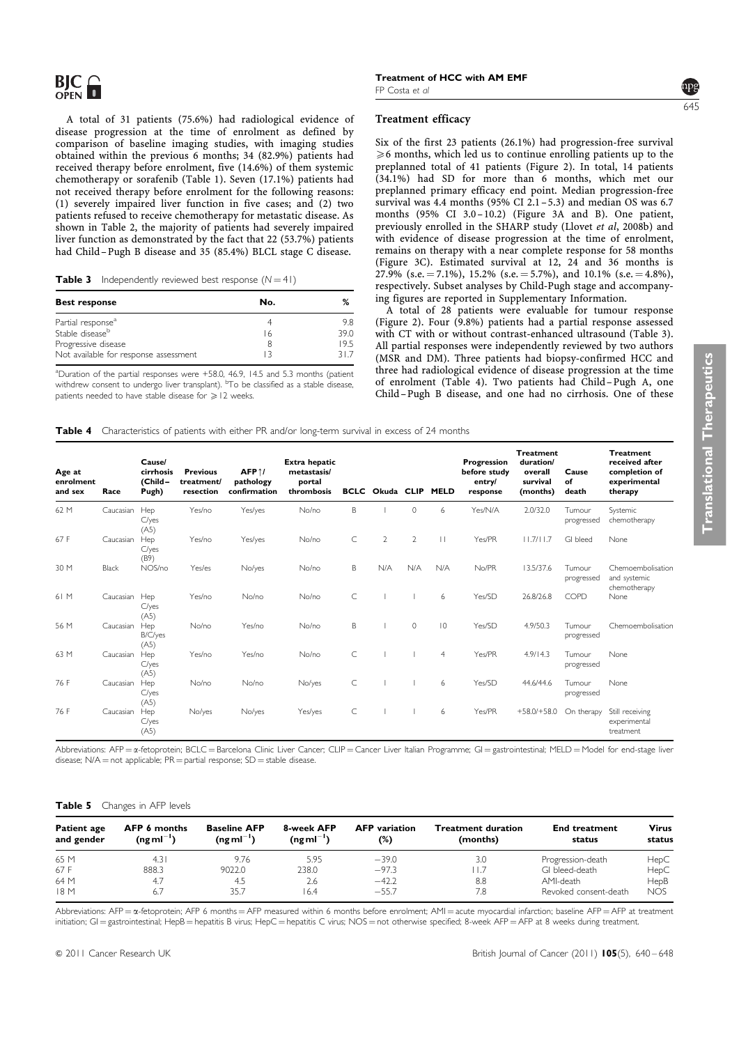A total of 31 patients (75.6%) had radiological evidence of disease progression at the time of enrolment as defined by comparison of baseline imaging studies, with imaging studies obtained within the previous 6 months; 34 (82.9%) patients had received therapy before enrolment, five (14.6%) of them systemic chemotherapy or sorafenib (Table 1). Seven (17.1%) patients had not received therapy before enrolment for the following reasons: (1) severely impaired liver function in five cases; and (2) two patients refused to receive chemotherapy for metastatic disease. As shown in Table 2, the majority of patients had severely impaired liver function as demonstrated by the fact that 22 (53.7%) patients had Child – Pugh B disease and 35 (85.4%) BLCL stage C disease.

**Table 3** Independently reviewed best response  $(N = 41)$ 

| No. | %    |
|-----|------|
|     | 9 R  |
| 16  | 39 O |
|     | 19.5 |
|     | 317  |
|     |      |

<sup>a</sup>Duration of the partial responses were +58.0, 46.9, 14.5 and 5.3 months (patient withdrew consent to undergo liver transplant). <sup>b</sup>To be classified as a stable disease, patients needed to have stable disease for  $\geq 12$  weeks.

# Treatment efficacy

Six of the first 23 patients (26.1%) had progression-free survival  $\geqslant$ 6 months, which led us to continue enrolling patients up to the preplanned total of 41 patients (Figure 2). In total, 14 patients (34.1%) had SD for more than 6 months, which met our preplanned primary efficacy end point. Median progression-free survival was 4.4 months (95% CI  $2.1 - 5.3$ ) and median OS was 6.7 months (95% CI 3.0-10.2) (Figure 3A and B). One patient, previously enrolled in the SHARP study (Llovet et al, 2008b) and with evidence of disease progression at the time of enrolment, remains on therapy with a near complete response for 58 months (Figure 3C). Estimated survival at 12, 24 and 36 months is 27.9% (s.e. = 7.1%), 15.2% (s.e. = 5.7%), and 10.1% (s.e. = 4.8%), respectively. Subset analyses by Child-Pugh stage and accompanying figures are reported in Supplementary Information.

A total of 28 patients were evaluable for tumour response (Figure 2). Four (9.8%) patients had a partial response assessed with CT with or without contrast-enhanced ultrasound (Table 3). All partial responses were independently reviewed by two authors (MSR and DM). Three patients had biopsy-confirmed HCC and three had radiological evidence of disease progression at the time of enrolment (Table 4). Two patients had Child –Pugh A, one Child –Pugh B disease, and one had no cirrhosis. One of these

Table 4 Characteristics of patients with either PR and/or long-term survival in excess of 24 months

| Age at<br>enrolment<br>and sex | Race      | Cause/<br>cirrhosis<br>(Child-<br>Pugh) | <b>Previous</b><br>treatment/<br>resection | $AFP \uparrow /$<br>pathology<br>confirmation | Extra hepatic<br>metastasis/<br>portal<br>thrombosis | <b>BCLC</b> | Okuda CLIP     |          | <b>MELD</b>    | Progression<br>before study<br>entry/<br>response | <b>Treatment</b><br>duration/<br>overall<br>survival<br>(months) | Cause<br>of<br>death | <b>Treatment</b><br>received after<br>completion of<br>experimental<br>therapy |
|--------------------------------|-----------|-----------------------------------------|--------------------------------------------|-----------------------------------------------|------------------------------------------------------|-------------|----------------|----------|----------------|---------------------------------------------------|------------------------------------------------------------------|----------------------|--------------------------------------------------------------------------------|
| 62 M                           | Caucasian | Hep<br>C/yes<br>(AS)                    | Yes/no                                     | Yes/yes                                       | No/no                                                | B           |                | $\Omega$ | 6              | Yes/N/A                                           | 2.0/32.0                                                         | Tumour<br>progressed | Systemic<br>chemotherapy                                                       |
| 67 F                           | Caucasian | Hep<br>C/yes<br>(B9)                    | Yes/no                                     | Yes/yes                                       | No/no                                                | C           | $\overline{2}$ | 2        | $\perp$        | Yes/PR                                            | 11.7/11.7                                                        | GI bleed             | None                                                                           |
| 30 M                           | Black     | NOS/no                                  | Yes/es                                     | No/yes                                        | No/no                                                | Β           | N/A            | N/A      | N/A            | No/PR                                             | 13.5/37.6                                                        | Tumour<br>progressed | Chemoembolisation<br>and systemic<br>chemotherapy                              |
| 61 M                           | Caucasian | Hep<br>C/yes<br>(AS)                    | Yes/no                                     | No/no                                         | No/no                                                | C           |                |          | 6              | Yes/SD                                            | 26.8/26.8                                                        | COPD                 | None                                                                           |
| 56 M                           | Caucasian | Hep<br>B/C/yes<br>(AS)                  | No/no                                      | Yes/no                                        | No/no                                                | B           |                | $\circ$  | $ 0\rangle$    | Yes/SD                                            | 4.9/50.3                                                         | Tumour<br>progressed | Chemoembolisation                                                              |
| 63 M                           | Caucasian | Hep<br>C/yes<br>(AS)                    | Yes/no                                     | Yes/no                                        | No/no                                                | C           |                |          | $\overline{4}$ | Yes/PR                                            | 4.9/14.3                                                         | Tumour<br>progressed | None                                                                           |
| 76 F                           | Caucasian | Hep<br>C/yes<br>(AS)                    | No/no                                      | No/no                                         | No/yes                                               | С           |                |          | 6              | Yes/SD                                            | 44.6/44.6                                                        | Tumour<br>progressed | <b>None</b>                                                                    |
| 76 F                           | Caucasian | Hep<br>C/yes<br>(AS)                    | No/yes                                     | No/yes                                        | Yes/yes                                              | C           |                |          | 6              | Yes/PR                                            | $+58.0/+58.0$                                                    | On therapy           | Still receiving<br>experimental<br>treatment                                   |

Abbreviations: AFP = x-fetoprotein; BCLC = Barcelona Clinic Liver Cancer; CLIP = Cancer Liver Italian Programme; GI = gastrointestinal; MELD = Model for end-stage liver disease;  $N/A =$  not applicable;  $PR =$  partial response;  $SD =$  stable disease.

### Table 5 Changes in AFP levels

| <b>Patient age</b><br>and gender | <b>AFP 6 months</b><br>$(nqml^{-1})$ | <b>Baseline AFP</b><br>$(ngml^{-1})$ | 8-week AFP<br>$(ngml^{-1})$ | <b>AFP</b> variation<br>(%) | <b>Treatment duration</b><br>(months) | <b>End treatment</b><br>status | <b>Virus</b><br>status |  |
|----------------------------------|--------------------------------------|--------------------------------------|-----------------------------|-----------------------------|---------------------------------------|--------------------------------|------------------------|--|
| 65 M                             | 4.3                                  | 9.76                                 | 5.95                        | $-39.0$                     | 3.0                                   | Progression-death              | HepC                   |  |
| 67 F                             | 888.3                                | 9022.0                               | 238.0                       | $-97.3$                     |                                       | GI bleed-death                 | HepC                   |  |
| 64 M                             | 4.7                                  | 4.5                                  | 2.6                         | $-42.2$                     | 8.8                                   | AMI-death                      | HepB                   |  |
| 18 M                             | 6.7                                  | 35.7                                 | 16.4                        | $-55.7$                     | 7.8                                   | Revoked consent-death          | <b>NOS</b>             |  |

Abbreviations: AFP = x-fetoprotein; AFP 6 months = AFP measured within 6 months before enrolment; AMI = acute myocardial infarction; baseline AFP = AFP at treatment initiation; GI = gastrointestinal; HepB = hepatitis B virus; HepC = hepatitis C virus; NOS = not otherwise specified; 8-week AFP = AFP at 8 weeks during treatment.

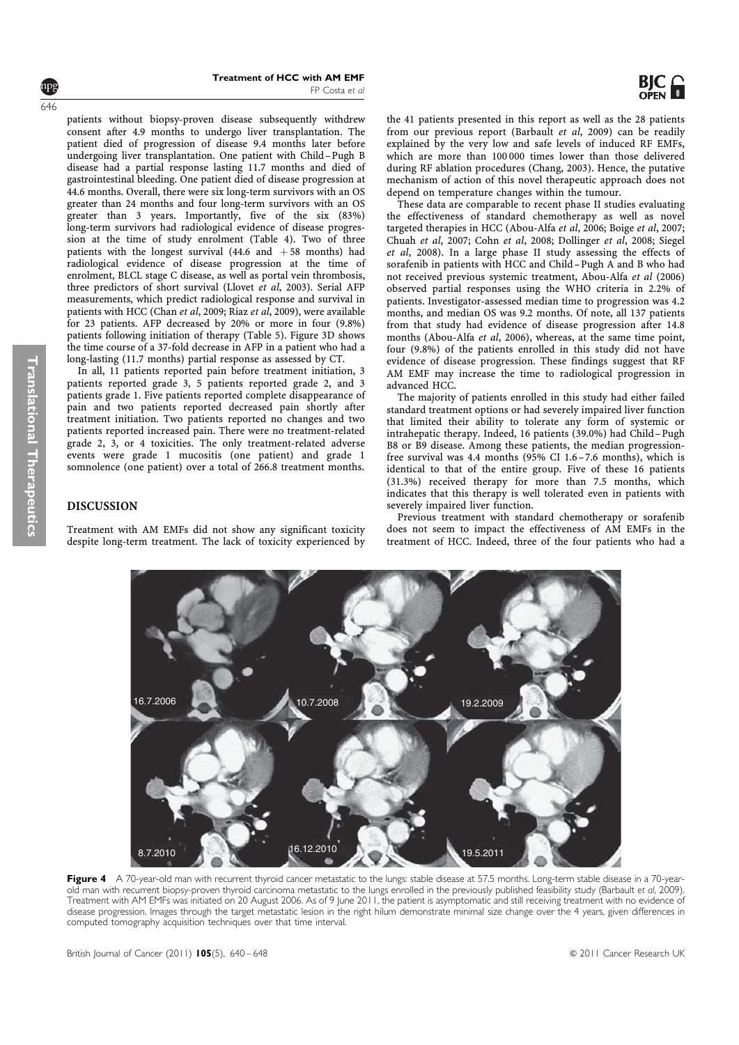patients without biopsy-proven disease subsequently withdrew consent after 4.9 months to undergo liver transplantation. The patient died of progression of disease 9.4 months later before undergoing liver transplantation. One patient with Child –Pugh B disease had a partial response lasting 11.7 months and died of gastrointestinal bleeding. One patient died of disease progression at 44.6 months. Overall, there were six long-term survivors with an OS greater than 24 months and four long-term survivors with an OS greater than 3 years. Importantly, five of the six (83%) long-term survivors had radiological evidence of disease progression at the time of study enrolment (Table 4). Two of three patients with the longest survival  $(44.6 \text{ and } +58 \text{ months})$  had radiological evidence of disease progression at the time of enrolment, BLCL stage C disease, as well as portal vein thrombosis, three predictors of short survival (Llovet et al, 2003). Serial AFP measurements, which predict radiological response and survival in patients with HCC (Chan et al, 2009; Riaz et al, 2009), were available for 23 patients. AFP decreased by 20% or more in four (9.8%) patients following initiation of therapy (Table 5). Figure 3D shows the time course of a 37-fold decrease in AFP in a patient who had a long-lasting (11.7 months) partial response as assessed by CT.

In all, 11 patients reported pain before treatment initiation, 3 patients reported grade 3, 5 patients reported grade 2, and 3 patients grade 1. Five patients reported complete disappearance of pain and two patients reported decreased pain shortly after treatment initiation. Two patients reported no changes and two patients reported increased pain. There were no treatment-related grade 2, 3, or 4 toxicities. The only treatment-related adverse events were grade 1 mucositis (one patient) and grade 1 somnolence (one patient) over a total of 266.8 treatment months.

# DISCUSSION

Treatment with AM EMFs did not show any significant toxicity despite long-term treatment. The lack of toxicity experienced by the 41 patients presented in this report as well as the 28 patients from our previous report (Barbault et al, 2009) can be readily explained by the very low and safe levels of induced RF EMFs, which are more than 100 000 times lower than those delivered during RF ablation procedures (Chang, 2003). Hence, the putative mechanism of action of this novel therapeutic approach does not depend on temperature changes within the tumour.

These data are comparable to recent phase II studies evaluating the effectiveness of standard chemotherapy as well as novel targeted therapies in HCC (Abou-Alfa et al, 2006; Boige et al, 2007; Chuah et al, 2007; Cohn et al, 2008; Dollinger et al, 2008; Siegel et al, 2008). In a large phase II study assessing the effects of sorafenib in patients with HCC and Child –Pugh A and B who had not received previous systemic treatment, Abou-Alfa et al (2006) observed partial responses using the WHO criteria in 2.2% of patients. Investigator-assessed median time to progression was 4.2 months, and median OS was 9.2 months. Of note, all 137 patients from that study had evidence of disease progression after 14.8 months (Abou-Alfa et al, 2006), whereas, at the same time point, four (9.8%) of the patients enrolled in this study did not have evidence of disease progression. These findings suggest that RF AM EMF may increase the time to radiological progression in advanced HCC.

The majority of patients enrolled in this study had either failed standard treatment options or had severely impaired liver function that limited their ability to tolerate any form of systemic or intrahepatic therapy. Indeed, 16 patients (39.0%) had Child –Pugh B8 or B9 disease. Among these patients, the median progressionfree survival was 4.4 months (95% CI 1.6 –7.6 months), which is identical to that of the entire group. Five of these 16 patients (31.3%) received therapy for more than 7.5 months, which indicates that this therapy is well tolerated even in patients with severely impaired liver function.

Previous treatment with standard chemotherapy or sorafenib does not seem to impact the effectiveness of AM EMFs in the treatment of HCC. Indeed, three of the four patients who had a



16.7.2006 10.7.2008 19.2.2009

8.7.2010 **16.12.2010 16.12.2010 19.5.2011** 

646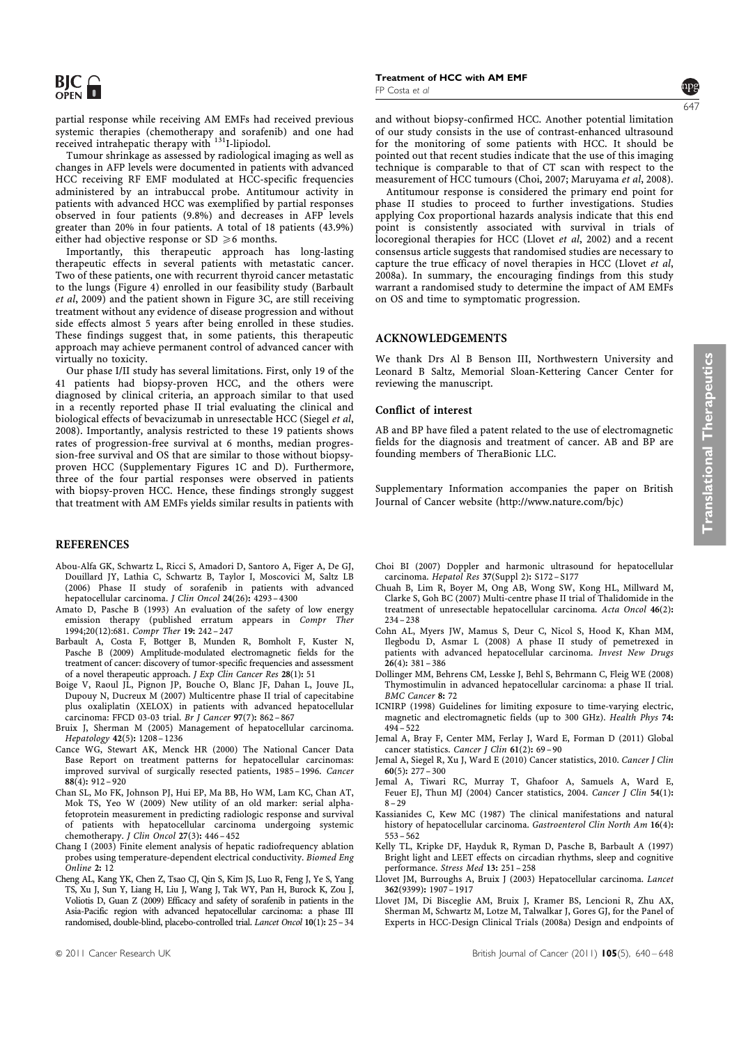partial response while receiving AM EMFs had received previous systemic therapies (chemotherapy and sorafenib) and one had<br>received intrahepatic therapy with <sup>131</sup>I-lipiodol.

Tumour shrinkage as assessed by radiological imaging as well as changes in AFP levels were documented in patients with advanced HCC receiving RF EMF modulated at HCC-specific frequencies administered by an intrabuccal probe. Antitumour activity in patients with advanced HCC was exemplified by partial responses observed in four patients (9.8%) and decreases in AFP levels greater than 20% in four patients. A total of 18 patients (43.9%) either had objective response or  $SD \ge 6$  months.

Importantly, this therapeutic approach has long-lasting therapeutic effects in several patients with metastatic cancer. Two of these patients, one with recurrent thyroid cancer metastatic to the lungs (Figure 4) enrolled in our feasibility study (Barbault et al, 2009) and the patient shown in Figure 3C, are still receiving treatment without any evidence of disease progression and without side effects almost 5 years after being enrolled in these studies. These findings suggest that, in some patients, this therapeutic approach may achieve permanent control of advanced cancer with virtually no toxicity.

Our phase I/II study has several limitations. First, only 19 of the 41 patients had biopsy-proven HCC, and the others were diagnosed by clinical criteria, an approach similar to that used in a recently reported phase II trial evaluating the clinical and biological effects of bevacizumab in unresectable HCC (Siegel et al, 2008). Importantly, analysis restricted to these 19 patients shows rates of progression-free survival at 6 months, median progression-free survival and OS that are similar to those without biopsyproven HCC (Supplementary Figures 1C and D). Furthermore, three of the four partial responses were observed in patients with biopsy-proven HCC. Hence, these findings strongly suggest that treatment with AM EMFs yields similar results in patients with

### **REFERENCES**

- Abou-Alfa GK, Schwartz L, Ricci S, Amadori D, Santoro A, Figer A, De GJ, Douillard JY, Lathia C, Schwartz B, Taylor I, Moscovici M, Saltz LB (2006) Phase II study of sorafenib in patients with advanced hepatocellular carcinoma. J Clin Oncol 24(26): 4293 – 4300
- Amato D, Pasche B (1993) An evaluation of the safety of low energy emission therapy (published erratum appears in Compr Ther 1994;20(12):681. Compr Ther 19: 242 – 247
- Barbault A, Costa F, Bottger B, Munden R, Bomholt F, Kuster N, Pasche B (2009) Amplitude-modulated electromagnetic fields for the treatment of cancer: discovery of tumor-specific frequencies and assessment of a novel therapeutic approach. J Exp Clin Cancer Res 28(1): 51
- Boige V, Raoul JL, Pignon JP, Bouche O, Blanc JF, Dahan L, Jouve JL, Dupouy N, Ducreux M (2007) Multicentre phase II trial of capecitabine plus oxaliplatin (XELOX) in patients with advanced hepatocellular carcinoma: FFCD 03-03 trial. Br J Cancer 97(7): 862 – 867
- Bruix J, Sherman M (2005) Management of hepatocellular carcinoma. Hepatology 42(5): 1208 – 1236
- Cance WG, Stewart AK, Menck HR (2000) The National Cancer Data Base Report on treatment patterns for hepatocellular carcinomas: improved survival of surgically resected patients, 1985-1996. Cancer 88(4): 912 – 920
- Chan SL, Mo FK, Johnson PJ, Hui EP, Ma BB, Ho WM, Lam KC, Chan AT, Mok TS, Yeo W (2009) New utility of an old marker: serial alphafetoprotein measurement in predicting radiologic response and survival of patients with hepatocellular carcinoma undergoing systemic chemotherapy. J Clin Oncol 27(3): 446-452
- Chang I (2003) Finite element analysis of hepatic radiofrequency ablation probes using temperature-dependent electrical conductivity. Biomed Eng Online 2: 12
- Cheng AL, Kang YK, Chen Z, Tsao CJ, Qin S, Kim JS, Luo R, Feng J, Ye S, Yang TS, Xu J, Sun Y, Liang H, Liu J, Wang J, Tak WY, Pan H, Burock K, Zou J, Voliotis D, Guan Z (2009) Efficacy and safety of sorafenib in patients in the Asia-Pacific region with advanced hepatocellular carcinoma: a phase III randomised, double-blind, placebo-controlled trial. Lancet Oncol 10(1): 25 – 34

Treatment of HCC with AM EMF FP Costa et al

and without biopsy-confirmed HCC. Another potential limitation of our study consists in the use of contrast-enhanced ultrasound for the monitoring of some patients with HCC. It should be pointed out that recent studies indicate that the use of this imaging technique is comparable to that of CT scan with respect to the measurement of HCC tumours (Choi, 2007; Maruyama et al, 2008).

Antitumour response is considered the primary end point for phase II studies to proceed to further investigations. Studies applying Cox proportional hazards analysis indicate that this end point is consistently associated with survival in trials of locoregional therapies for HCC (Llovet et al, 2002) and a recent consensus article suggests that randomised studies are necessary to capture the true efficacy of novel therapies in HCC (Llovet et al, 2008a). In summary, the encouraging findings from this study warrant a randomised study to determine the impact of AM EMFs on OS and time to symptomatic progression.

# ACKNOWLEDGEMENTS

We thank Drs Al B Benson III, Northwestern University and Leonard B Saltz, Memorial Sloan-Kettering Cancer Center for reviewing the manuscript.

#### Conflict of interest

AB and BP have filed a patent related to the use of electromagnetic fields for the diagnosis and treatment of cancer. AB and BP are founding members of TheraBionic LLC.

Supplementary Information accompanies the paper on British Journal of Cancer website (http://www.nature.com/bjc)

- Choi BI (2007) Doppler and harmonic ultrasound for hepatocellular
- carcinoma. Hepatol Res 37(Suppl 2): S172 S177 Chuah B, Lim R, Boyer M, Ong AB, Wong SW, Kong HL, Millward M, Clarke S, Goh BC (2007) Multi-centre phase II trial of Thalidomide in the treatment of unresectable hepatocellular carcinoma. Acta Oncol 46(2): 234 – 238
- Cohn AL, Myers JW, Mamus S, Deur C, Nicol S, Hood K, Khan MM, Ilegbodu D, Asmar L (2008) A phase II study of pemetrexed in patients with advanced hepatocellular carcinoma. Invest New Drugs  $26(4): 381 - 386$
- Dollinger MM, Behrens CM, Lesske J, Behl S, Behrmann C, Fleig WE (2008) Thymostimulin in advanced hepatocellular carcinoma: a phase II trial. BMC Cancer 8: 72
- ICNIRP (1998) Guidelines for limiting exposure to time-varying electric, magnetic and electromagnetic fields (up to 300 GHz). Health Phys 74:  $494 - 522$
- Jemal A, Bray F, Center MM, Ferlay J, Ward E, Forman D (2011) Global cancer statistics. Cancer J Clin 61(2): 69-90
- Jemal A, Siegel R, Xu J, Ward E (2010) Cancer statistics, 2010. Cancer J Clin  $60(5): 277 - 300$
- Jemal A, Tiwari RC, Murray T, Ghafoor A, Samuels A, Ward E, Feuer EJ, Thun MJ (2004) Cancer statistics, 2004. Cancer J Clin 54(1):  $8 - 29$
- Kassianides C, Kew MC (1987) The clinical manifestations and natural history of hepatocellular carcinoma. Gastroenterol Clin North Am 16(4): 553 – 562
- Kelly TL, Kripke DF, Hayduk R, Ryman D, Pasche B, Barbault A (1997) Bright light and LEET effects on circadian rhythms, sleep and cognitive performance. Stress Med 13: 251 – 258
- Llovet JM, Burroughs A, Bruix J (2003) Hepatocellular carcinoma. Lancet 362(9399): 1907 – 1917
- Llovet JM, Di Bisceglie AM, Bruix J, Kramer BS, Lencioni R, Zhu AX, Sherman M, Schwartz M, Lotze M, Talwalkar J, Gores GJ, for the Panel of Experts in HCC-Design Clinical Trials (2008a) Design and endpoints of

647